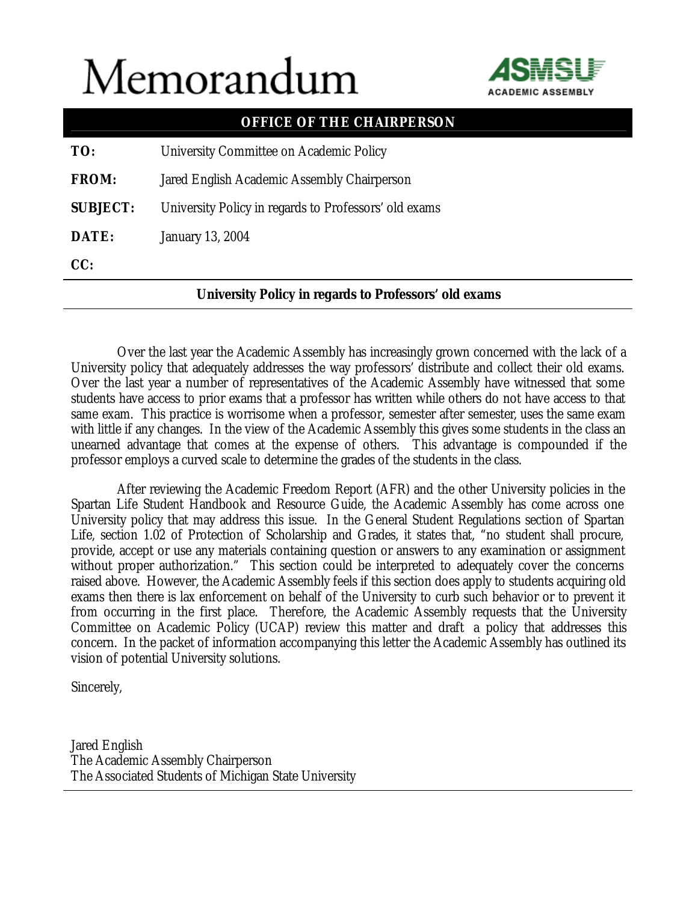## Memorandum



|                 | <b>OFFICE OF THE CHAIRPERSON</b>                             |
|-----------------|--------------------------------------------------------------|
| TO:             | University Committee on Academic Policy                      |
| <b>FROM:</b>    | Jared English Academic Assembly Chairperson                  |
| <b>SUBJECT:</b> | University Policy in regards to Professors' old exams        |
| DATE:           | <b>January 13, 2004</b>                                      |
| CC:             |                                                              |
|                 | <b>University Policy in regards to Professors' old exams</b> |

 Over the last year the Academic Assembly has increasingly grown concerned with the lack of a University policy that adequately addresses the way professors' distribute and collect their old exams. Over the last year a number of representatives of the Academic Assembly have witnessed that some students have access to prior exams that a professor has written while others do not have access to that same exam. This practice is worrisome when a professor, semester after semester, uses the same exam with little if any changes. In the view of the Academic Assembly this gives some students in the class an unearned advantage that comes at the expense of others. This advantage is compounded if the professor employs a curved scale to determine the grades of the students in the class.

 After reviewing the Academic Freedom Report (AFR) and the other University policies in the Spartan Life Student Handbook and Resource Guide, the Academic Assembly has come across one University policy that may address this issue. In the General Student Regulations section of Spartan Life, section 1.02 of Protection of Scholarship and Grades, it states that, "no student shall procure, provide, accept or use any materials containing question or answers to any examination or assignment without proper authorization." This section could be interpreted to adequately cover the concerns raised above. However, the Academic Assembly feels if this section does apply to students acquiring old exams then there is lax enforcement on behalf of the University to curb such behavior or to prevent it from occurring in the first place. Therefore, the Academic Assembly requests that the University Committee on Academic Policy (UCAP) review this matter and draft a policy that addresses this concern. In the packet of information accompanying this letter the Academic Assembly has outlined its vision of potential University solutions.

Sincerely,

Jared English The Academic Assembly Chairperson The Associated Students of Michigan State University